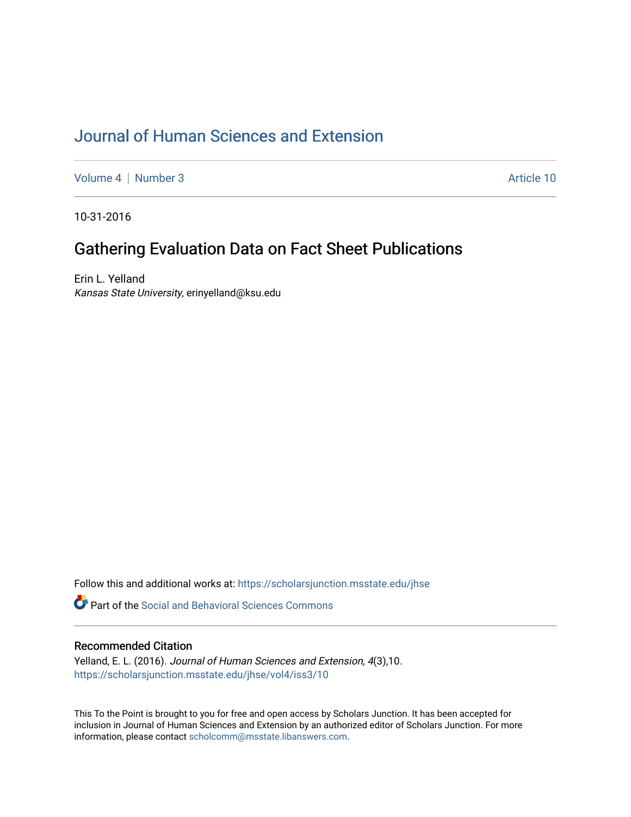# [Journal of Human Sciences and Extension](https://scholarsjunction.msstate.edu/jhse)

[Volume 4](https://scholarsjunction.msstate.edu/jhse/vol4) | [Number 3](https://scholarsjunction.msstate.edu/jhse/vol4/iss3) Article 10

10-31-2016

### Gathering Evaluation Data on Fact Sheet Publications

Erin L. Yelland Kansas State University, erinyelland@ksu.edu

Follow this and additional works at: [https://scholarsjunction.msstate.edu/jhse](https://scholarsjunction.msstate.edu/jhse?utm_source=scholarsjunction.msstate.edu%2Fjhse%2Fvol4%2Fiss3%2F10&utm_medium=PDF&utm_campaign=PDFCoverPages)

**C** Part of the Social and Behavioral Sciences Commons

#### Recommended Citation

Yelland, E. L. (2016). Journal of Human Sciences and Extension, 4(3),10. [https://scholarsjunction.msstate.edu/jhse/vol4/iss3/10](https://scholarsjunction.msstate.edu/jhse/vol4/iss3/10?utm_source=scholarsjunction.msstate.edu%2Fjhse%2Fvol4%2Fiss3%2F10&utm_medium=PDF&utm_campaign=PDFCoverPages) 

This To the Point is brought to you for free and open access by Scholars Junction. It has been accepted for inclusion in Journal of Human Sciences and Extension by an authorized editor of Scholars Junction. For more information, please contact [scholcomm@msstate.libanswers.com](mailto:scholcomm@msstate.libanswers.com).